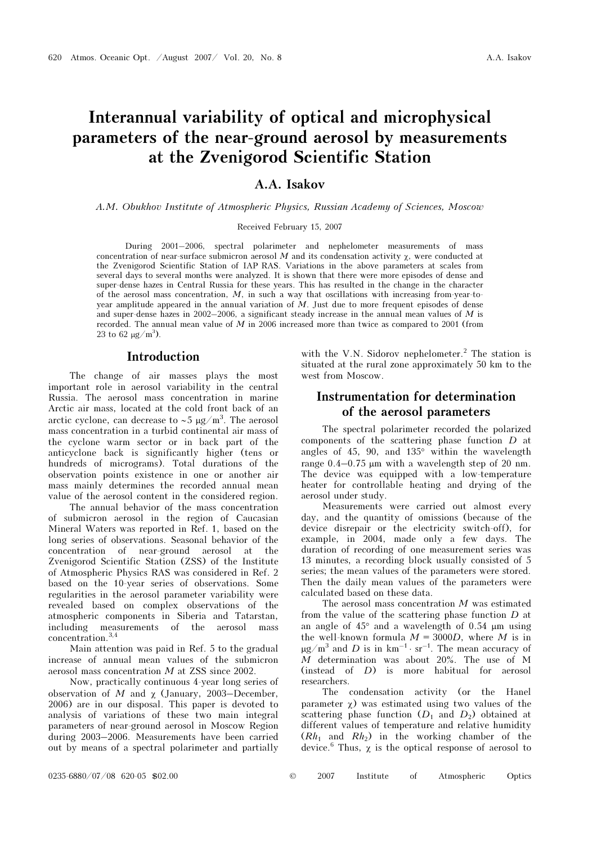# Interannual variability of optical and microphysical parameters of the near-ground aerosol by measurements at the Zvenigorod Scientific Station

# À.A. Isakov

A.M. Obukhov Institute of Atmospheric Physics, Russian Academy of Sciences, Moscow

#### Received February 15, 2007

During 2001–2006, spectral polarimeter and nephelometer measurements of mass concentration of near-surface submicron aerosol  $M$  and its condensation activity  $\chi$ , were conducted at the Zvenigorod Scientific Station of IAP RAS. Variations in the above parameters at scales from several days to several months were analyzed. It is shown that there were more episodes of dense and super-dense hazes in Central Russia for these years. This has resulted in the change in the character of the aerosol mass concentration, M, in such a way that oscillations with increasing from-year-toyear amplitude appeared in the annual variation of  $M$ . Just due to more frequent episodes of dense and super-dense hazes in 2002–2006, a significant steady increase in the annual mean values of  $M$  is recorded. The annual mean value of  $M$  in 2006 increased more than twice as compared to 2001 (from 23 to 62  $\mu$ g/m<sup>3</sup>).

### Introduction

The change of air masses plays the most important role in aerosol variability in the central Russia. The aerosol mass concentration in marine Arctic air mass, located at the cold front back of an arctic cyclone, can decrease to ~5  $\mu$ g/m<sup>3</sup>. The aerosol mass concentration in a turbid continental air mass of the cyclone warm sector or in back part of the anticyclone back is significantly higher (tens or hundreds of micrograms). Total durations of the observation points existence in one or another air mass mainly determines the recorded annual mean value of the aerosol content in the considered region.

The annual behavior of the mass concentration of submicron aerosol in the region of Caucasian Mineral Waters was reported in Ref. 1, based on the long series of observations. Seasonal behavior of the concentration of near-ground aerosol at the Zvenigorod Scientific Station (ZSS) of the Institute of Atmospheric Physics RAS was considered in Ref. 2 based on the 10-year series of observations. Some regularities in the aerosol parameter variability were revealed based on complex observations of the atmospheric components in Siberia and Tatarstan, including measurements of the aerosol mass concentration.3,4

Main attention was paid in Ref. 5 to the gradual increase of annual mean values of the submicron aerosol mass concentration M at ZSS since 2002.

Now, practically continuous 4-year long series of observation of  $M$  and  $\chi$  (January, 2003–December, 2006) are in our disposal. This paper is devoted to analysis of variations of these two main integral parameters of near-ground aerosol in Moscow Region during 2003–2006. Measurements have been carried out by means of a spectral polarimeter and partially

with the V.N. Sidorov nephelometer.<sup>2</sup> The station is situated at the rural zone approximately 50 km to the west from Moscow.

# Instrumentation for determination of the aerosol parameters

The spectral polarimeter recorded the polarized components of the scattering phase function D at angles of 45, 90, and  $135^{\circ}$  within the wavelength range 0.4–0.75 μm with a wavelength step of 20 nm. The device was equipped with a low-temperature heater for controllable heating and drying of the aerosol under study.

Measurements were carried out almost every day, and the quantity of omissions (because of the device disrepair or the electricity switch-off), for example, in 2004, made only a few days. The duration of recording of one measurement series was 13 minutes, a recording block usually consisted of 5 series; the mean values of the parameters were stored. Then the daily mean values of the parameters were calculated based on these data.

The aerosol mass concentration M was estimated from the value of the scattering phase function D at an angle of 45° and a wavelength of 0.54 μm using the well-known formula  $M = 3000D$ , where M is in  $\mu$ g/m<sup>3</sup> and D is in km<sup>-1</sup> · sr<sup>-1</sup>. The mean accuracy of  $\overline{M}$  determination was about 20%. The use of M (instead of D) is more habitual for aerosol researchers.

The condensation activity (or the Hanel parameter  $\chi$ ) was estimated using two values of the scattering phase function  $(D_1 \text{ and } D_2)$  obtained at different values of temperature and relative humidity  $(Rh_1$  and  $Rh_2$ ) in the working chamber of the device.<sup>6</sup> Thus,  $\chi$  is the optical response of aerosol to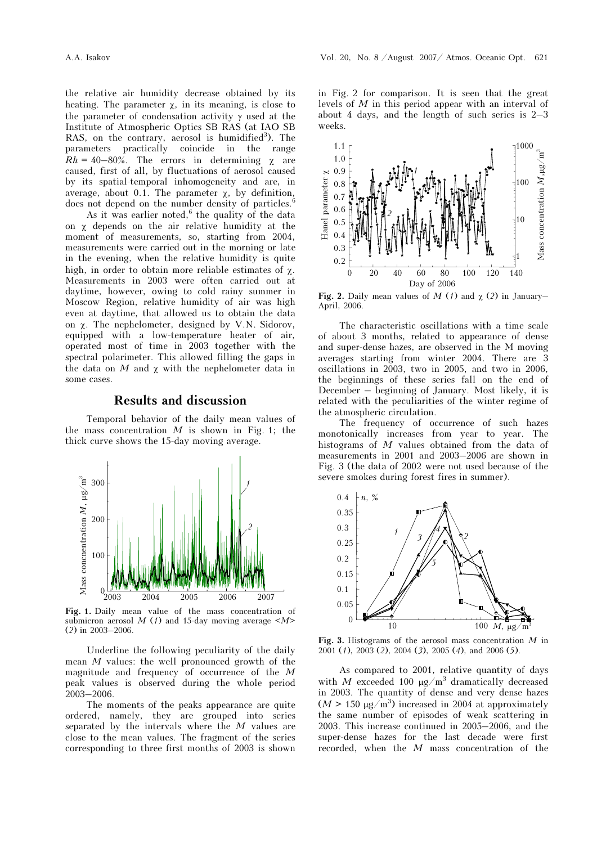the relative air humidity decrease obtained by its heating. The parameter  $\chi$ , in its meaning, is close to the parameter of condensation activity γ used at the Institute of Atmospheric Optics SB RAS (at IAO SB RAS, on the contrary, aerosol is humidified<sup>3</sup>). The parameters practically coincide in the range  $Rh = 40-80\%$ . The errors in determining  $\gamma$  are caused, first of all, by fluctuations of aerosol caused by its spatial-temporal inhomogeneity and are, in average, about 0.1. The parameter χ, by definition, does not depend on the number density of particles.<sup>6</sup>

As it was earlier noted,  $6$  the quality of the data on χ depends on the air relative humidity at the moment of measurements, so, starting from 2004, measurements were carried out in the morning or late in the evening, when the relative humidity is quite high, in order to obtain more reliable estimates of χ. Measurements in 2003 were often carried out at daytime, however, owing to cold rainy summer in Moscow Region, relative humidity of air was high even at daytime, that allowed us to obtain the data on χ. The nephelometer, designed by V.N. Sidorov, equipped with a low-temperature heater of air, operated most of time in 2003 together with the spectral polarimeter. This allowed filling the gaps in the data on  $M$  and  $\chi$  with the nephelometer data in some cases.

## Results and discussion

Temporal behavior of the daily mean values of the mass concentration  $M$  is shown in Fig. 1; the thick curve shows the 15-day moving average.



Fig. 1. Daily mean value of the mass concentration of submicron aerosol  $M(1)$  and 15-day moving average  $\langle M \rangle$ (2) in 2003–2006.

Underline the following peculiarity of the daily mean M values: the well pronounced growth of the magnitude and frequency of occurrence of the M peak values is observed during the whole period 2003–2006.

The moments of the peaks appearance are quite ordered, namely, they are grouped into series separated by the intervals where the  $M$  values are close to the mean values. The fragment of the series corresponding to three first months of 2003 is shown

in Fig. 2 for comparison. It is seen that the great levels of M in this period appear with an interval of about 4 days, and the length of such series is 2–3 weeks.



Fig. 2. Daily mean values of M (1) and  $\chi$  (2) in January– April, 2006.

The characteristic oscillations with a time scale of about 3 months, related to appearance of dense and super-dense hazes, are observed in the M moving averages starting from winter 2004. There are 3 oscillations in 2003, two in 2005, and two in 2006, the beginnings of these series fall on the end of December – beginning of January. Most likely, it is related with the peculiarities of the winter regime of the atmospheric circulation.

The frequency of occurrence of such hazes monotonically increases from year to year. The histograms of M values obtained from the data of measurements in 2001 and 2003–2006 are shown in Fig. 3 (the data of 2002 were not used because of the severe smokes during forest fires in summer).



**Fig. 3.** Histograms of the aerosol mass concentration M in  $2001 (1) 2003 (2) 2004 (3) 2005 (4)$  and  $2006 (5)$ 2001 (1), 2003 (2), 2004 (3), 2005 (4), and 2006 (5).

As compared to 2001, relative quantity of days with M exceeded 100  $\mu$ g/m<sup>3</sup> dramatically decreased in 2003. The quantity of dense and very dense hazes  $(M > 150 \text{ µg/m}^3)$  increased in 2004 at approximately the same number of episodes of weak scattering in 2003. This increase continued in 2005–2006, and the super-dense hazes for the last decade were first recorded, when the M mass concentration of the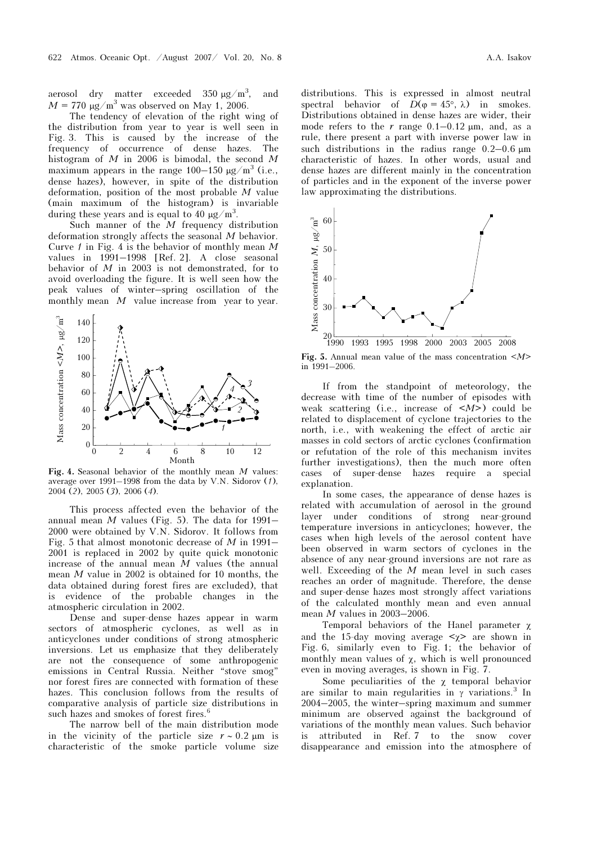aerosol dry matter exceeded  $350 \mu g/m^3$ , , and  $M = 770 \text{ µg/m}^3$  was observed on May 1, 2006.

The tendency of elevation of the right wing of the distribution from year to year is well seen in Fig. 3. This is caused by the increase of the frequency of occurrence of dense hazes. The histogram of M in 2006 is bimodal, the second M maximum appears in the range 100–150  $\mu$ g/m<sup>3</sup> (i.e., dense hazes), however, in spite of the distribution deformation, position of the most probable  $M$  value (main maximum of the histogram) is invariable during these years and is equal to 40  $\mu$ g/m<sup>3</sup>.

Such manner of the  $M$  frequency distribution deformation strongly affects the seasonal M behavior. Curve  $1$  in Fig. 4 is the behavior of monthly mean  $M$ values in 1991–1998 [Ref. 2]. A close seasonal behavior of  $M$  in 2003 is not demonstrated, for to avoid overloading the figure. It is well seen how the peak values of winter–spring oscillation of the monthly mean  $M$  value increase from year to year.



Fig. 4. Seasonal behavior of the monthly mean  $M$  values: average over 1991–1998 from the data by V.N. Sidorov (1), 2004 (2), 2005 (3), 2006 (4).

This process affected even the behavior of the annual mean  $M$  values (Fig. 5). The data for 1991– 2000 were obtained by V.N. Sidorov. It follows from Fig. 5 that almost monotonic decrease of  $M$  in 1991– 2001 is replaced in 2002 by quite quick monotonic increase of the annual mean  $\overline{M}$  values (the annual mean M value in 2002 is obtained for 10 months, the data obtained during forest fires are excluded), that is evidence of the probable changes in the atmospheric circulation in 2002.

Dense and super-dense hazes appear in warm sectors of atmospheric cyclones, as well as in anticyclones under conditions of strong atmospheric inversions. Let us emphasize that they deliberately are not the consequence of some anthropogenic emissions in Central Russia. Neither "stove smog" nor forest fires are connected with formation of these hazes. This conclusion follows from the results of comparative analysis of particle size distributions in such hazes and smokes of forest fires. $^6\,$ 

The narrow bell of the main distribution mode in the vicinity of the particle size  $r \sim 0.2$  µm is characteristic of the smoke particle volume size distributions. This is expressed in almost neutral spectral behavior of  $D(\varphi = 45^{\circ}, \lambda)$  in smokes. Distributions obtained in dense hazes are wider, their mode refers to the r range  $0.1-0.12 \mu m$ , and, as a rule, there present a part with inverse power law in such distributions in the radius range  $0.2-0.6 \mu m$ characteristic of hazes. In other words, usual and dense hazes are different mainly in the concentration of particles and in the exponent of the inverse power law approximating the distributions.



Fig. 5. Annual mean value of the mass concentration  $\langle M \rangle$ in 1991–2006.

If from the standpoint of meteorology, the decrease with time of the number of episodes with weak scattering (i.e., increase of  $\langle M \rangle$ ) could be related to displacement of cyclone trajectories to the north, i.e., with weakening the effect of arctic air masses in cold sectors of arctic cyclones (confirmation or refutation of the role of this mechanism invites further investigations), then the much more often cases of super-dense hazes require a special explanation.

In some cases, the appearance of dense hazes is related with accumulation of aerosol in the ground layer under conditions of strong near-ground temperature inversions in anticyclones; however, the cases when high levels of the aerosol content have been observed in warm sectors of cyclones in the absence of any near-ground inversions are not rare as well. Exceeding of the  $M$  mean level in such cases reaches an order of magnitude. Therefore, the dense and super-dense hazes most strongly affect variations of the calculated monthly mean and even annual mean M values in 2003–2006.

Temporal behaviors of the Hanel parameter χ and the 15-day moving average  $\leq \chi$  are shown in Fig. 6, similarly even to Fig. 1; the behavior of monthly mean values of  $\chi$ , which is well pronounced even in moving averages, is shown in Fig. 7.

Some peculiarities of the  $\chi$  temporal behavior are similar to main regularities in  $\gamma$  variations.<sup>3</sup> In 2004–2005, the winter–spring maximum and summer minimum are observed against the background of variations of the monthly mean values. Such behavior is attributed in Ref. 7 to the snow cover disappearance and emission into the atmosphere of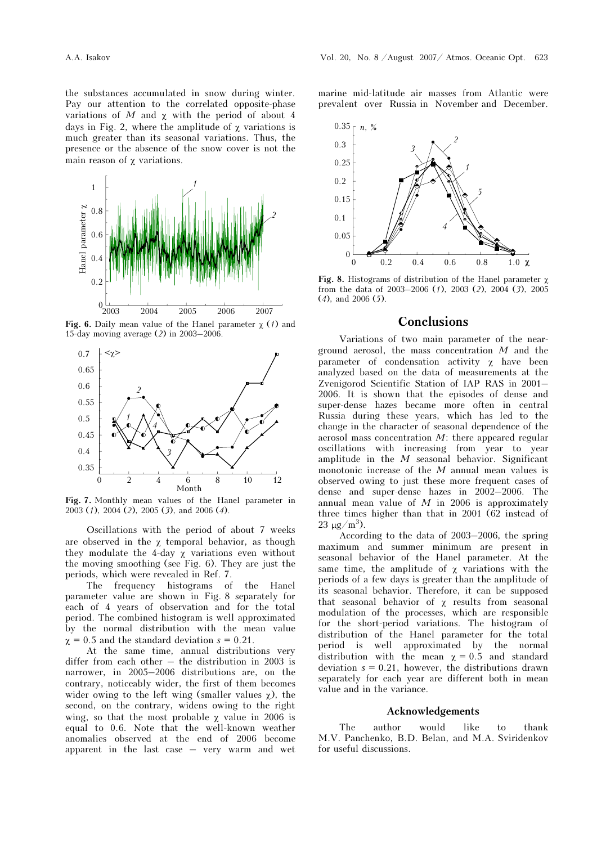the substances accumulated in snow during winter. Pay our attention to the correlated opposite-phase variations of M and  $\chi$  with the period of about 4 days in Fig. 2, where the amplitude of  $\chi$  variations is much greater than its seasonal variations. Thus, the presence or the absence of the snow cover is not the main reason of χ variations.



Fig. 6. Daily mean value of the Hanel parameter  $\chi$  (1) and 15-day moving average (2) in 2003–2006.



Fig. 7. Monthly mean values of the Hanel parameter in 2003 (1), 2004 (2), 2005 (3), and 2006 (4).

Oscillations with the period of about 7 weeks are observed in the  $\chi$  temporal behavior, as though they modulate the 4-day  $\chi$  variations even without the moving smoothing (see Fig. 6). They are just the periods, which were revealed in Ref. 7.

The frequency histograms of the Hanel parameter value are shown in Fig. 8 separately for each of 4 years of observation and for the total period. The combined histogram is well approximated by the normal distribution with the mean value  $\chi = 0.5$  and the standard deviation  $s = 0.21$ .

At the same time, annual distributions very differ from each other – the distribution in 2003 is narrower, in 2005–2006 distributions are, on the contrary, noticeably wider, the first of them becomes wider owing to the left wing (smaller values  $\chi$ ), the second, on the contrary, widens owing to the right wing, so that the most probable  $\chi$  value in 2006 is equal to 0.6. Note that the well-known weather anomalies observed at the end of 2006 become apparent in the last case – very warm and wet

marine mid-latitude air masses from Atlantic were prevalent over Russia in November and December.



Fig. 8. Histograms of distribution of the Hanel parameter  $\chi$ from the data of 2003–2006 (1), 2003 (2), 2004 (3), 2005 (4), and 2006 (5).

#### **Conclusions**

Variations of two main parameter of the nearground aerosol, the mass concentration M and the parameter of condensation activity  $\chi$  have been analyzed based on the data of measurements at the Zvenigorod Scientific Station of IAP RAS in 2001– 2006. It is shown that the episodes of dense and super-dense hazes became more often in central Russia during these years, which has led to the change in the character of seasonal dependence of the aerosol mass concentration M: there appeared regular oscillations with increasing from year to year amplitude in the  $M$  seasonal behavior. Significant monotonic increase of the M annual mean values is observed owing to just these more frequent cases of dense and super-dense hazes in 2002–2006. The annual mean value of  $M$  in 2006 is approximately three times higher than that in 2001 (62 instead of 23 μg/m<sup>3</sup>).

According to the data of 2003–2006, the spring maximum and summer minimum are present in seasonal behavior of the Hanel parameter. At the same time, the amplitude of  $\chi$  variations with the periods of a few days is greater than the amplitude of its seasonal behavior. Therefore, it can be supposed that seasonal behavior of  $\chi$  results from seasonal modulation of the processes, which are responsible for the short-period variations. The histogram of distribution of the Hanel parameter for the total period is well approximated by the normal distribution with the mean  $\chi = 0.5$  and standard deviation  $s = 0.21$ , however, the distributions drawn separately for each year are different both in mean value and in the variance.

#### Acknowledgements

The author would like to thank M.V. Panchenko, B.D. Belan, and M.A. Sviridenkov for useful discussions.